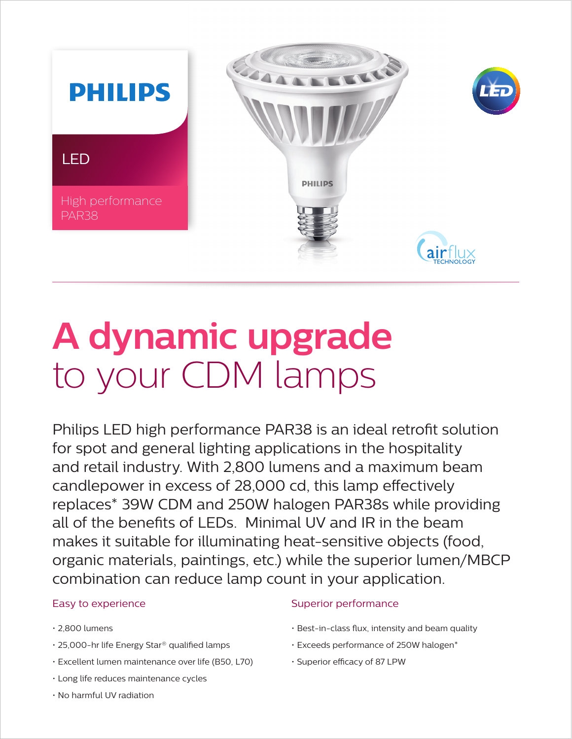

# **A dynamic upgrade** to your CDM lamps

Philips LED high performance PAR38 is an ideal retrofit solution for spot and general lighting applications in the hospitality and retail industry. With 2,800 lumens and a maximum beam candlepower in excess of 28,000 cd, this lamp effectively replaces\* 39W CDM and 250W halogen PAR38s while providing all of the benefits of LEDs. Minimal UV and IR in the beam makes it suitable for illuminating heat-sensitive objects (food, organic materials, paintings, etc.) while the superior lumen/MBCP combination can reduce lamp count in your application.

## Easy to experience

- 2,800 lumens
- 25,000-hr life Energy Star® qualified lamps
- Excellent lumen maintenance over life (B50, L70)
- Long life reduces maintenance cycles
- No harmful UV radiation

## Superior performance

- Best-in-class flux, intensity and beam quality
- Exceeds performance of 250W halogen\*
- Superior efficacy of 87 LPW